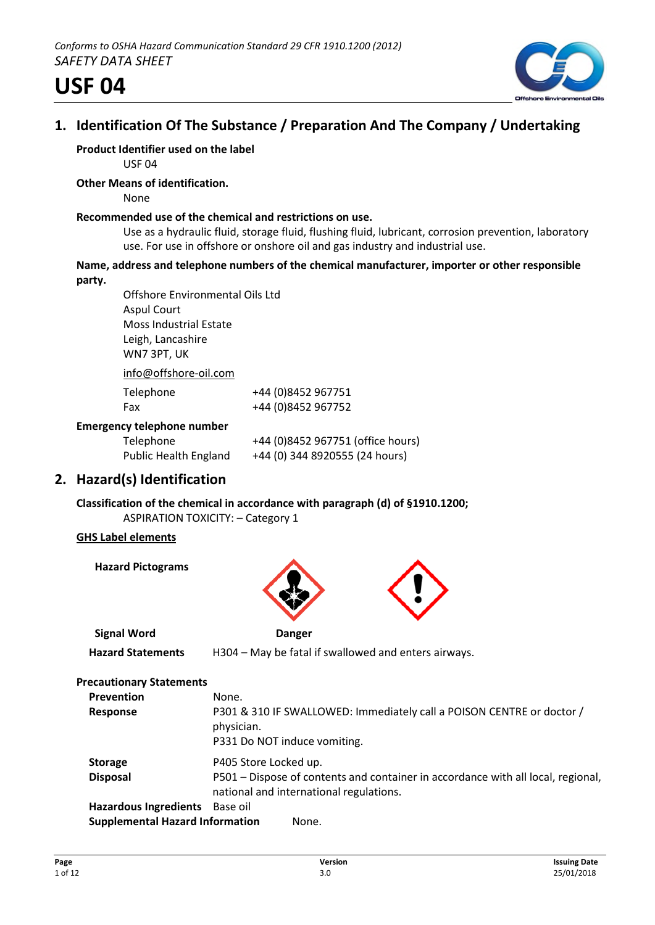

# **1. Identification Of The Substance / Preparation And The Company / Undertaking**

# **Product Identifier used on the label**

USF 04

### **Other Means of identification.**

None

### **Recommended use of the chemical and restrictions on use.**

Use as a hydraulic fluid, storage fluid, flushing fluid, lubricant, corrosion prevention, laboratory use. For use in offshore or onshore oil and gas industry and industrial use.

### **Name, address and telephone numbers of the chemical manufacturer, importer or other responsible party.**

Offshore Environmental Oils Ltd Aspul Court Moss Industrial Estate Leigh, Lancashire WN7 3PT, UK info@offshore-oil.com

| $IIIU($ WUII3IIUI CTUII.LUIII     |                                   |
|-----------------------------------|-----------------------------------|
| Telephone                         | +44 (0)8452 967751                |
| Fax                               | +44 (0)8452 967752                |
| <b>Emergency telephone number</b> |                                   |
| Telephone                         | +44 (0)8452 967751 (office hours) |
| <b>Public Health England</b>      | +44 (0) 344 8920555 (24 hours)    |

# **2. Hazard(s) Identification**

**Classification of the chemical in accordance with paragraph (d) of §1910.1200;** ASPIRATION TOXICITY: – Category 1

### **GHS Label elements**

**Hazard Pictograms**



| <b>Precautionary Statements</b>        |                                                                                                                             |
|----------------------------------------|-----------------------------------------------------------------------------------------------------------------------------|
| <b>Prevention</b>                      | None.                                                                                                                       |
| <b>Response</b>                        | P301 & 310 IF SWALLOWED: Immediately call a POISON CENTRE or doctor /<br>physician.<br>P331 Do NOT induce vomiting.         |
| <b>Storage</b>                         | P405 Store Locked up.                                                                                                       |
| <b>Disposal</b>                        | P501 – Dispose of contents and container in accordance with all local, regional,<br>national and international regulations. |
| <b>Hazardous Ingredients</b>           | Base oil                                                                                                                    |
| <b>Supplemental Hazard Information</b> | None.                                                                                                                       |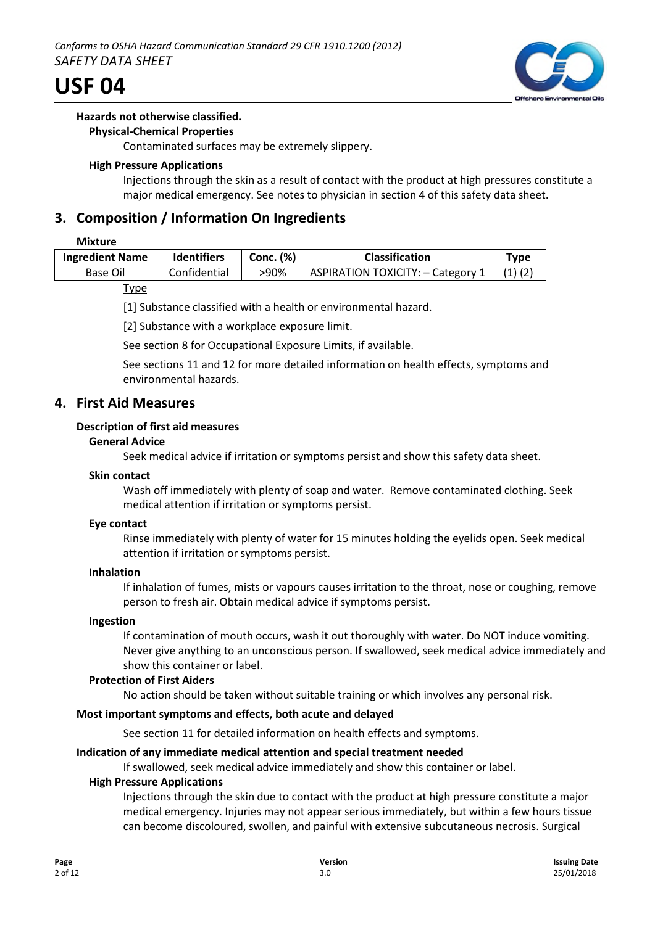

### **Hazards not otherwise classified.**

### **Physical-Chemical Properties**

Contaminated surfaces may be extremely slippery.

### **High Pressure Applications**

Injections through the skin as a result of contact with the product at high pressures constitute a major medical emergency. See notes to physician in section 4 of this safety data sheet.

# **3. Composition / Information On Ingredients**

### **Mixture**

| <b>Ingredient Name</b> | <b>Identifiers</b> | Conc. (%) | <b>Classification</b>             | Type |
|------------------------|--------------------|-----------|-----------------------------------|------|
| Base Oil               | Confidential       | >90%      | ASPIRATION TOXICITY: - Category 1 |      |

### **Type**

[1] Substance classified with a health or environmental hazard.

[2] Substance with a workplace exposure limit.

See section 8 for Occupational Exposure Limits, if available.

See sections 11 and 12 for more detailed information on health effects, symptoms and environmental hazards.

### **4. First Aid Measures**

### **Description of first aid measures**

### **General Advice**

Seek medical advice if irritation or symptoms persist and show this safety data sheet.

### **Skin contact**

Wash off immediately with plenty of soap and water. Remove contaminated clothing. Seek medical attention if irritation or symptoms persist.

### **Eye contact**

Rinse immediately with plenty of water for 15 minutes holding the eyelids open. Seek medical attention if irritation or symptoms persist.

### **Inhalation**

If inhalation of fumes, mists or vapours causes irritation to the throat, nose or coughing, remove person to fresh air. Obtain medical advice if symptoms persist.

### **Ingestion**

If contamination of mouth occurs, wash it out thoroughly with water. Do NOT induce vomiting. Never give anything to an unconscious person. If swallowed, seek medical advice immediately and show this container or label.

### **Protection of First Aiders**

No action should be taken without suitable training or which involves any personal risk.

### **Most important symptoms and effects, both acute and delayed**

See section 11 for detailed information on health effects and symptoms.

### **Indication of any immediate medical attention and special treatment needed**

If swallowed, seek medical advice immediately and show this container or label.

### **High Pressure Applications**

Injections through the skin due to contact with the product at high pressure constitute a major medical emergency. Injuries may not appear serious immediately, but within a few hours tissue can become discoloured, swollen, and painful with extensive subcutaneous necrosis. Surgical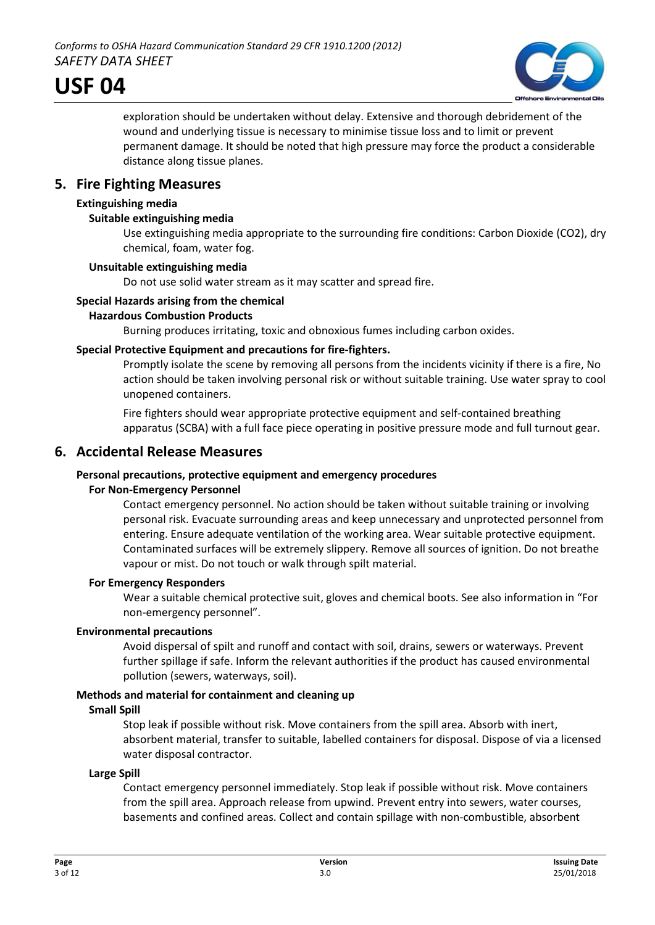

exploration should be undertaken without delay. Extensive and thorough debridement of the wound and underlying tissue is necessary to minimise tissue loss and to limit or prevent permanent damage. It should be noted that high pressure may force the product a considerable distance along tissue planes.

# **5. Fire Fighting Measures**

### **Extinguishing media**

### **Suitable extinguishing media**

Use extinguishing media appropriate to the surrounding fire conditions: Carbon Dioxide (CO2), dry chemical, foam, water fog.

### **Unsuitable extinguishing media**

Do not use solid water stream as it may scatter and spread fire.

### **Special Hazards arising from the chemical**

### **Hazardous Combustion Products**

Burning produces irritating, toxic and obnoxious fumes including carbon oxides.

### **Special Protective Equipment and precautions for fire-fighters.**

Promptly isolate the scene by removing all persons from the incidents vicinity if there is a fire, No action should be taken involving personal risk or without suitable training. Use water spray to cool unopened containers.

Fire fighters should wear appropriate protective equipment and self-contained breathing apparatus (SCBA) with a full face piece operating in positive pressure mode and full turnout gear.

### **6. Accidental Release Measures**

### **Personal precautions, protective equipment and emergency procedures**

### **For Non-Emergency Personnel**

Contact emergency personnel. No action should be taken without suitable training or involving personal risk. Evacuate surrounding areas and keep unnecessary and unprotected personnel from entering. Ensure adequate ventilation of the working area. Wear suitable protective equipment. Contaminated surfaces will be extremely slippery. Remove all sources of ignition. Do not breathe vapour or mist. Do not touch or walk through spilt material.

### **For Emergency Responders**

Wear a suitable chemical protective suit, gloves and chemical boots. See also information in "For non-emergency personnel".

### **Environmental precautions**

Avoid dispersal of spilt and runoff and contact with soil, drains, sewers or waterways. Prevent further spillage if safe. Inform the relevant authorities if the product has caused environmental pollution (sewers, waterways, soil).

### **Methods and material for containment and cleaning up**

### **Small Spill**

Stop leak if possible without risk. Move containers from the spill area. Absorb with inert, absorbent material, transfer to suitable, labelled containers for disposal. Dispose of via a licensed water disposal contractor.

### **Large Spill**

Contact emergency personnel immediately. Stop leak if possible without risk. Move containers from the spill area. Approach release from upwind. Prevent entry into sewers, water courses, basements and confined areas. Collect and contain spillage with non-combustible, absorbent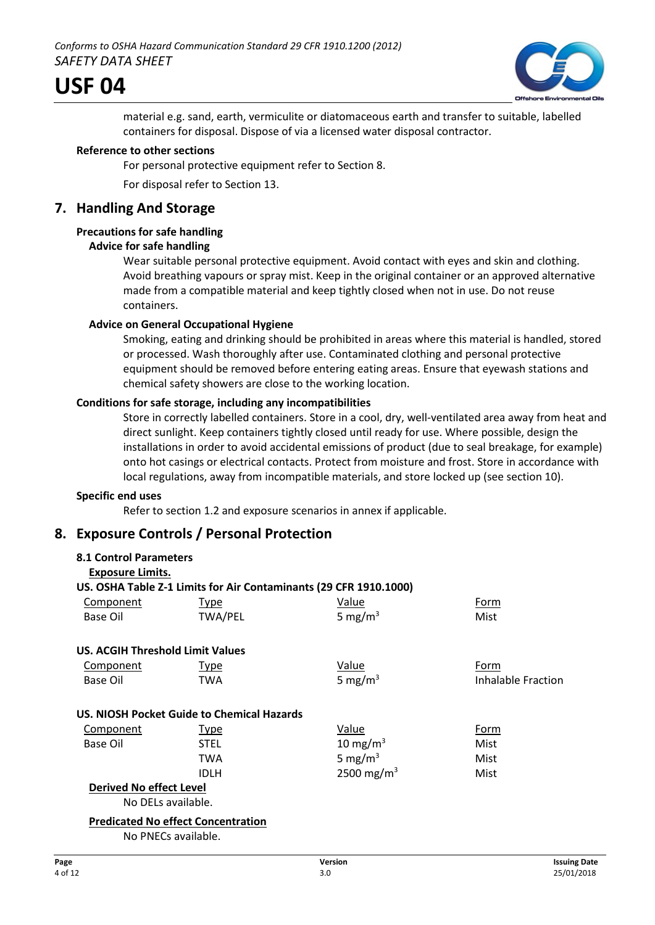

material e.g. sand, earth, vermiculite or diatomaceous earth and transfer to suitable, labelled containers for disposal. Dispose of via a licensed water disposal contractor.

### **Reference to other sections**

For personal protective equipment refer to Section 8.

For disposal refer to Section 13.

# **7. Handling And Storage**

### **Precautions for safe handling**

### **Advice for safe handling**

Wear suitable personal protective equipment. Avoid contact with eyes and skin and clothing. Avoid breathing vapours or spray mist. Keep in the original container or an approved alternative made from a compatible material and keep tightly closed when not in use. Do not reuse containers.

### **Advice on General Occupational Hygiene**

Smoking, eating and drinking should be prohibited in areas where this material is handled, stored or processed. Wash thoroughly after use. Contaminated clothing and personal protective equipment should be removed before entering eating areas. Ensure that eyewash stations and chemical safety showers are close to the working location.

### **Conditions for safe storage, including any incompatibilities**

Store in correctly labelled containers. Store in a cool, dry, well-ventilated area away from heat and direct sunlight. Keep containers tightly closed until ready for use. Where possible, design the installations in order to avoid accidental emissions of product (due to seal breakage, for example) onto hot casings or electrical contacts. Protect from moisture and frost. Store in accordance with local regulations, away from incompatible materials, and store locked up (see section 10).

### **Specific end uses**

Refer to section 1.2 and exposure scenarios in annex if applicable.

# **8. Exposure Controls / Personal Protection**

| <b>8.1 Control Parameters</b>           |                                            |                                                                   |                    |
|-----------------------------------------|--------------------------------------------|-------------------------------------------------------------------|--------------------|
| <b>Exposure Limits.</b>                 |                                            |                                                                   |                    |
|                                         |                                            | US. OSHA Table Z-1 Limits for Air Contaminants (29 CFR 1910.1000) |                    |
| Component                               | Type                                       | Value                                                             | Form               |
| Base Oil                                | <b>TWA/PEL</b>                             | 5 mg/m $3$                                                        | Mist               |
| <b>US. ACGIH Threshold Limit Values</b> |                                            |                                                                   |                    |
| Component                               | <b>Type</b>                                | <b>Value</b>                                                      | Form               |
| Base Oil                                | TWA                                        | 5 mg/m <sup>3</sup>                                               | Inhalable Fraction |
|                                         | US. NIOSH Pocket Guide to Chemical Hazards |                                                                   |                    |
| <b>Component</b>                        | <b>Type</b>                                | <b>Value</b>                                                      | Form               |
| Base Oil                                | <b>STEL</b>                                | 10 mg/m <sup>3</sup>                                              | Mist               |
|                                         | TWA                                        | 5 mg/m <sup>3</sup>                                               | Mist               |
|                                         | IDLH                                       | 2500 mg/m <sup>3</sup>                                            | Mist               |
| <b>Derived No effect Level</b>          |                                            |                                                                   |                    |
| No DELs available.                      |                                            |                                                                   |                    |
|                                         | <b>Predicated No effect Concentration</b>  |                                                                   |                    |
|                                         | $N = N \Gamma C$ , $L \cdot L$             |                                                                   |                    |

No PNECs available.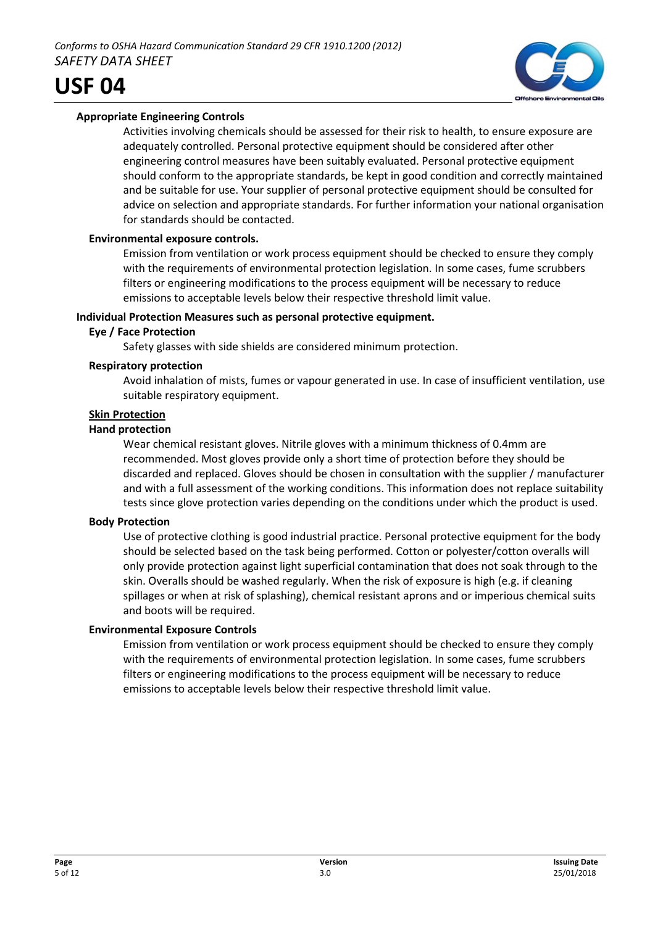

Activities involving chemicals should be assessed for their risk to health, to ensure exposure are adequately controlled. Personal protective equipment should be considered after other engineering control measures have been suitably evaluated. Personal protective equipment should conform to the appropriate standards, be kept in good condition and correctly maintained and be suitable for use. Your supplier of personal protective equipment should be consulted for advice on selection and appropriate standards. For further information your national organisation for standards should be contacted.

### **Environmental exposure controls.**

Emission from ventilation or work process equipment should be checked to ensure they comply with the requirements of environmental protection legislation. In some cases, fume scrubbers filters or engineering modifications to the process equipment will be necessary to reduce emissions to acceptable levels below their respective threshold limit value.

### **Individual Protection Measures such as personal protective equipment.**

### **Eye / Face Protection**

Safety glasses with side shields are considered minimum protection.

### **Respiratory protection**

Avoid inhalation of mists, fumes or vapour generated in use. In case of insufficient ventilation, use suitable respiratory equipment.

### **Skin Protection**

### **Hand protection**

Wear chemical resistant gloves. Nitrile gloves with a minimum thickness of 0.4mm are recommended. Most gloves provide only a short time of protection before they should be discarded and replaced. Gloves should be chosen in consultation with the supplier / manufacturer and with a full assessment of the working conditions. This information does not replace suitability tests since glove protection varies depending on the conditions under which the product is used.

### **Body Protection**

Use of protective clothing is good industrial practice. Personal protective equipment for the body should be selected based on the task being performed. Cotton or polyester/cotton overalls will only provide protection against light superficial contamination that does not soak through to the skin. Overalls should be washed regularly. When the risk of exposure is high (e.g. if cleaning spillages or when at risk of splashing), chemical resistant aprons and or imperious chemical suits and boots will be required.

### **Environmental Exposure Controls**

Emission from ventilation or work process equipment should be checked to ensure they comply with the requirements of environmental protection legislation. In some cases, fume scrubbers filters or engineering modifications to the process equipment will be necessary to reduce emissions to acceptable levels below their respective threshold limit value.

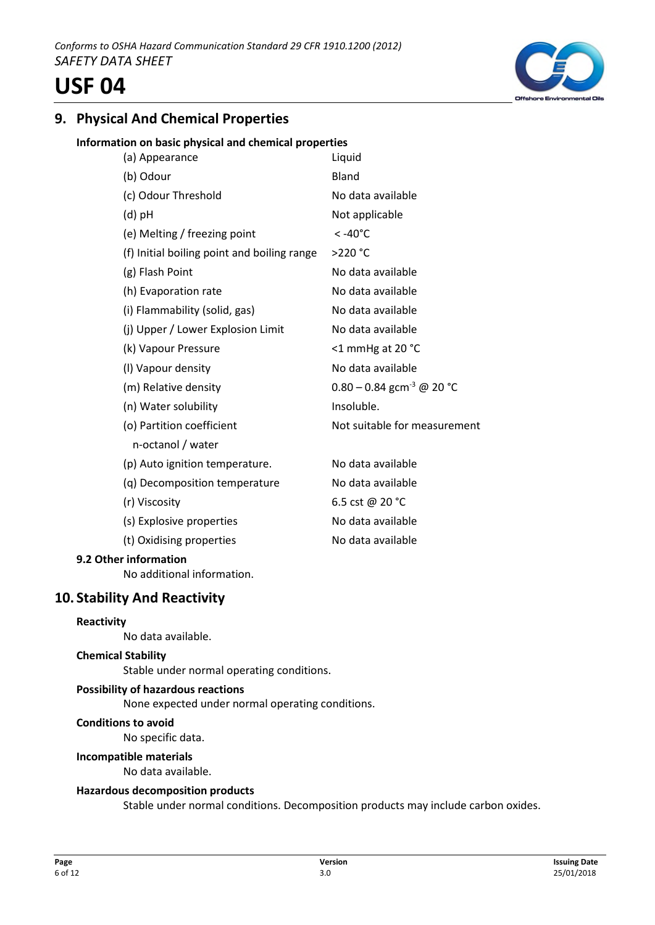# **9. Physical And Chemical Properties**

### **Information on basic physical and chemical properties**

| (a) Appearance                              | Liquid                                  |
|---------------------------------------------|-----------------------------------------|
| (b) Odour                                   | Bland                                   |
| (c) Odour Threshold                         | No data available                       |
| $(d)$ pH                                    | Not applicable                          |
| (e) Melting / freezing point                | $< -40^{\circ}$ C                       |
| (f) Initial boiling point and boiling range | >220 °C                                 |
| (g) Flash Point                             | No data available                       |
| (h) Evaporation rate                        | No data available                       |
| (i) Flammability (solid, gas)               | No data available                       |
| (j) Upper / Lower Explosion Limit           | No data available                       |
| (k) Vapour Pressure                         | <1 mmHg at 20 °C                        |
| (I) Vapour density                          | No data available                       |
| (m) Relative density                        | $0.80 - 0.84$ gcm <sup>-3</sup> @ 20 °C |
| (n) Water solubility                        | Insoluble.                              |
| (o) Partition coefficient                   | Not suitable for measurement            |
| n-octanol / water                           |                                         |
| (p) Auto ignition temperature.              | No data available                       |
| (q) Decomposition temperature               | No data available                       |
| (r) Viscosity                               | 6.5 cst @ 20 °C                         |
| (s) Explosive properties                    | No data available                       |
| (t) Oxidising properties                    | No data available                       |
|                                             |                                         |

### **9.2 Other information**

No additional information.

### **10. Stability And Reactivity**

### **Reactivity**

No data available.

### **Chemical Stability**

Stable under normal operating conditions.

### **Possibility of hazardous reactions**

None expected under normal operating conditions.

#### **Conditions to avoid**

No specific data.

#### **Incompatible materials**

No data available.

### **Hazardous decomposition products**

Stable under normal conditions. Decomposition products may include carbon oxides.

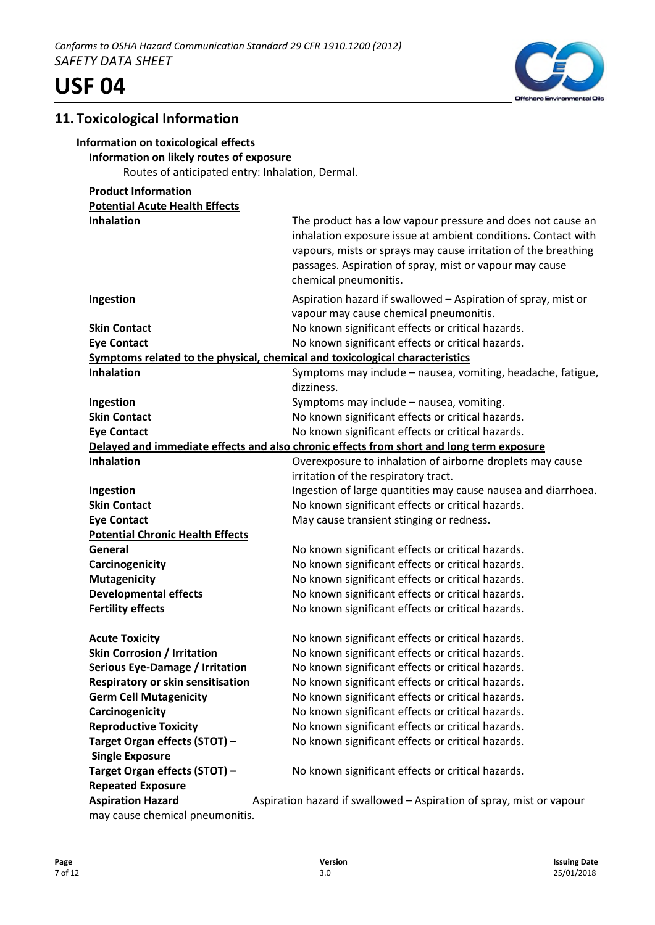

### **11. Toxicological Information**

### **Information on toxicological effects**

### **Information on likely routes of exposure**

Routes of anticipated entry: Inhalation, Dermal.

### **Product Information Potential Acute Health Effects Inhalation** The product has a low vapour pressure and does not cause an **Inhalation** inhalation exposure issue at ambient conditions. Contact with vapours, mists or sprays may cause irritation of the breathing passages. Aspiration of spray, mist or vapour may cause chemical pneumonitis. **Ingestion Aspiration hazard if swallowed – Aspiration of spray, mist or Aspiration hazard if swallowed – Aspiration of spray, mist or** vapour may cause chemical pneumonitis. **Skin Contact No known significant effects or critical hazards. Eye Contact Exercise 20 Interval 20 Incremental More Contact No known significant effects or critical hazards. Symptoms related to the physical, chemical and toxicological characteristics Inhalation Inhalation** Symptoms may include – nausea, vomiting, headache, fatigue, dizziness. **Ingestion** Symptoms may include – nausea, vomiting. **Skin Contact** No known significant effects or critical hazards. **Eye Contact Exercise 20 Interval 20 Incremental More Contact No known significant effects or critical hazards. Delayed and immediate effects and also chronic effects from short and long term exposure Inhalation Inhalation Overexposure to inhalation of airborne droplets may cause** irritation of the respiratory tract. **Ingestion Ingestion Ingestion of large quantities may cause nausea and diarrhoea. Skin Contact** No known significant effects or critical hazards. **Eye Contact May cause transient stinging or redness. Potential Chronic Health Effects General** No known significant effects or critical hazards. **Carcinogenicity Carcinogenicity No known significant effects or critical hazards. Mutagenicity** Moknown significant effects or critical hazards. **Developmental effects** No known significant effects or critical hazards. **Fertility effects** The Superson Moknown significant effects or critical hazards. **Acute Toxicity No known significant effects or critical hazards. Skin Corrosion / Irritation** No known significant effects or critical hazards. **Serious Eye-Damage / Irritation** No known significant effects or critical hazards. **Respiratory or skin sensitisation** No known significant effects or critical hazards. **Germ Cell Mutagenicity** No known significant effects or critical hazards. **Carcinogenicity No known significant effects or critical hazards. Reproductive Toxicity** No known significant effects or critical hazards. **Target Organ effects (STOT) – No known significant effects or critical hazards. Single Exposure Target Organ effects (STOT) – No known significant effects or critical hazards. Repeated Exposure Aspiration Hazard** Aspiration hazard if swallowed – Aspiration of spray, mist or vapour may cause chemical pneumonitis.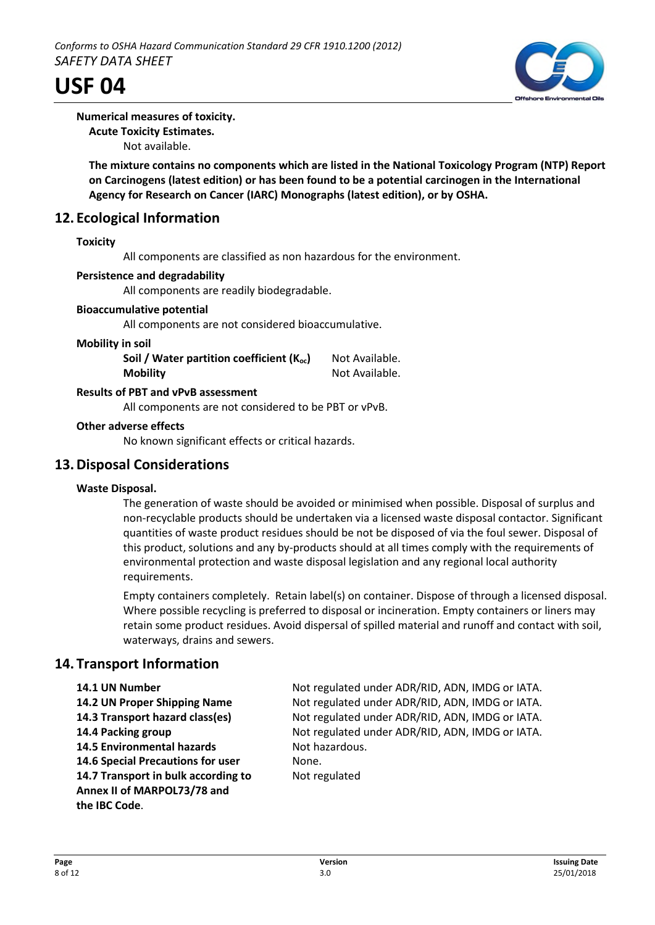

### **Numerical measures of toxicity.**

**Acute Toxicity Estimates.**

Not available.

**The mixture contains no components which are listed in the National Toxicology Program (NTP) Report on Carcinogens (latest edition) or has been found to be a potential carcinogen in the International Agency for Research on Cancer (IARC) Monographs (latest edition), or by OSHA.**

# **12. Ecological Information**

### **Toxicity**

All components are classified as non hazardous for the environment.

### **Persistence and degradability**

All components are readily biodegradable.

### **Bioaccumulative potential**

All components are not considered bioaccumulative.

#### **Mobility in soil**

| Soil / Water partition coefficient $(K_{oc})$ | Not Available. |
|-----------------------------------------------|----------------|
| <b>Mobility</b>                               | Not Available. |

### **Results of PBT and vPvB assessment**

All components are not considered to be PBT or vPvB.

### **Other adverse effects**

No known significant effects or critical hazards.

### **13.Disposal Considerations**

### **Waste Disposal.**

The generation of waste should be avoided or minimised when possible. Disposal of surplus and non-recyclable products should be undertaken via a licensed waste disposal contactor. Significant quantities of waste product residues should be not be disposed of via the foul sewer. Disposal of this product, solutions and any by-products should at all times comply with the requirements of environmental protection and waste disposal legislation and any regional local authority requirements.

Empty containers completely. Retain label(s) on container. Dispose of through a licensed disposal. Where possible recycling is preferred to disposal or incineration. Empty containers or liners may retain some product residues. Avoid dispersal of spilled material and runoff and contact with soil, waterways, drains and sewers.

### **14. Transport Information**

**14.5 Environmental hazards** Not hazardous. **14.6 Special Precautions for user** None. **14.7 Transport in bulk according to** Not regulated **Annex II of MARPOL73/78 and the IBC Code**.

**14.1 UN Number** Not regulated under ADR/RID, ADN, IMDG or IATA. **14.2 UN Proper Shipping Name** Not regulated under ADR/RID, ADN, IMDG or IATA. **14.3 Transport hazard class(es)** Not regulated under ADR/RID, ADN, IMDG or IATA. **14.4 Packing group** Not regulated under ADR/RID, ADN, IMDG or IATA.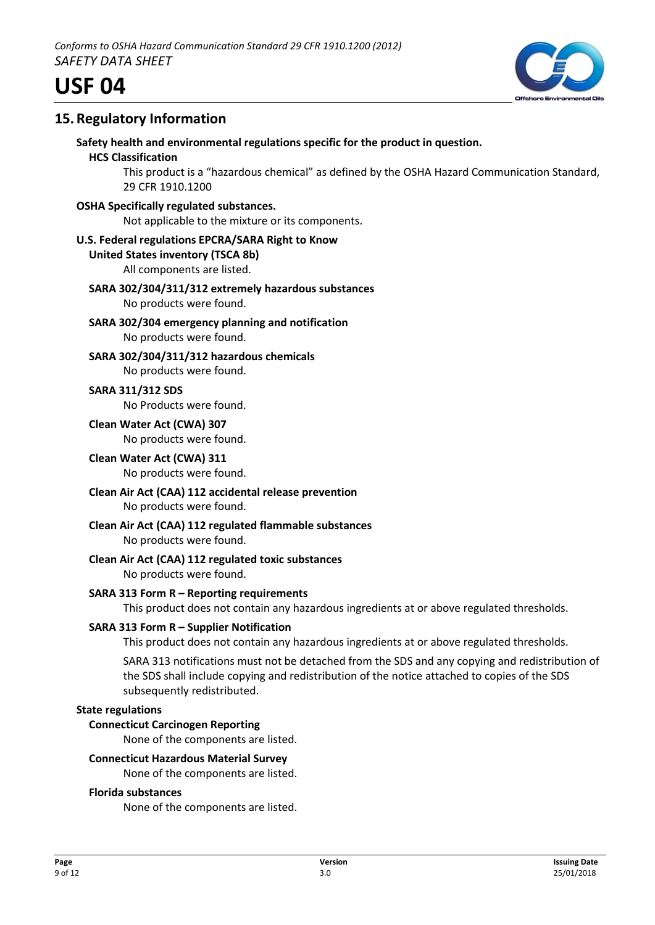

# **15.Regulatory Information**

**Safety health and environmental regulations specific for the product in question.**

### **HCS Classification**

This product is a "hazardous chemical" as defined by the OSHA Hazard Communication Standard, 29 CFR 1910.1200

**OSHA Specifically regulated substances.**

Not applicable to the mixture or its components.

### **U.S. Federal regulations EPCRA/SARA Right to Know**

### **United States inventory (TSCA 8b)**

All components are listed.

#### **SARA 302/304/311/312 extremely hazardous substances** No products were found.

**SARA 302/304 emergency planning and notification** No products were found.

**SARA 302/304/311/312 hazardous chemicals** No products were found.

**SARA 311/312 SDS** No Products were found.

### **Clean Water Act (CWA) 307** No products were found.

**Clean Water Act (CWA) 311** No products were found.

- **Clean Air Act (CAA) 112 accidental release prevention** No products were found.
- **Clean Air Act (CAA) 112 regulated flammable substances** No products were found.
- **Clean Air Act (CAA) 112 regulated toxic substances** No products were found.

### **SARA 313 Form R – Reporting requirements**

This product does not contain any hazardous ingredients at or above regulated thresholds.

### **SARA 313 Form R – Supplier Notification**

This product does not contain any hazardous ingredients at or above regulated thresholds.

SARA 313 notifications must not be detached from the SDS and any copying and redistribution of the SDS shall include copying and redistribution of the notice attached to copies of the SDS subsequently redistributed.

### **State regulations**

### **Connecticut Carcinogen Reporting**

None of the components are listed.

### **Connecticut Hazardous Material Survey**

None of the components are listed.

### **Florida substances**

None of the components are listed.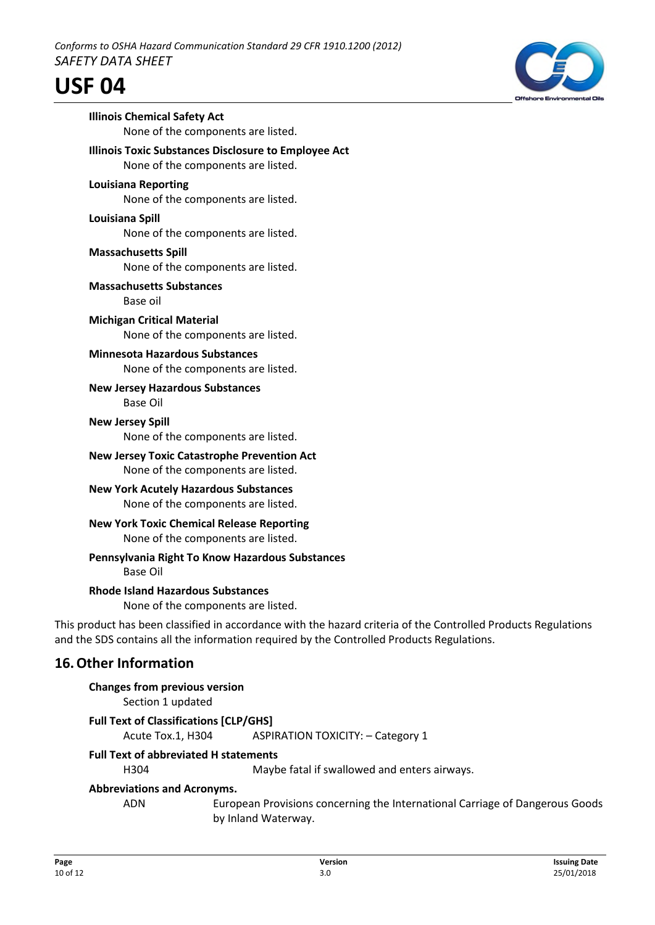

This product has been classified in accordance with the hazard criteria of the Controlled Products Regulations and the SDS contains all the information required by the Controlled Products Regulations.

# **16.Other Information**

### **Changes from previous version** Section 1 updated

# **Full Text of Classifications [CLP/GHS]**

Acute Tox.1, H304 ASPIRATION TOXICITY: – Category 1

# **Full Text of abbreviated H statements**

H304 Maybe fatal if swallowed and enters airways.

# **Abbreviations and Acronyms.**

ADN European Provisions concerning the International Carriage of Dangerous Goods by Inland Waterway.

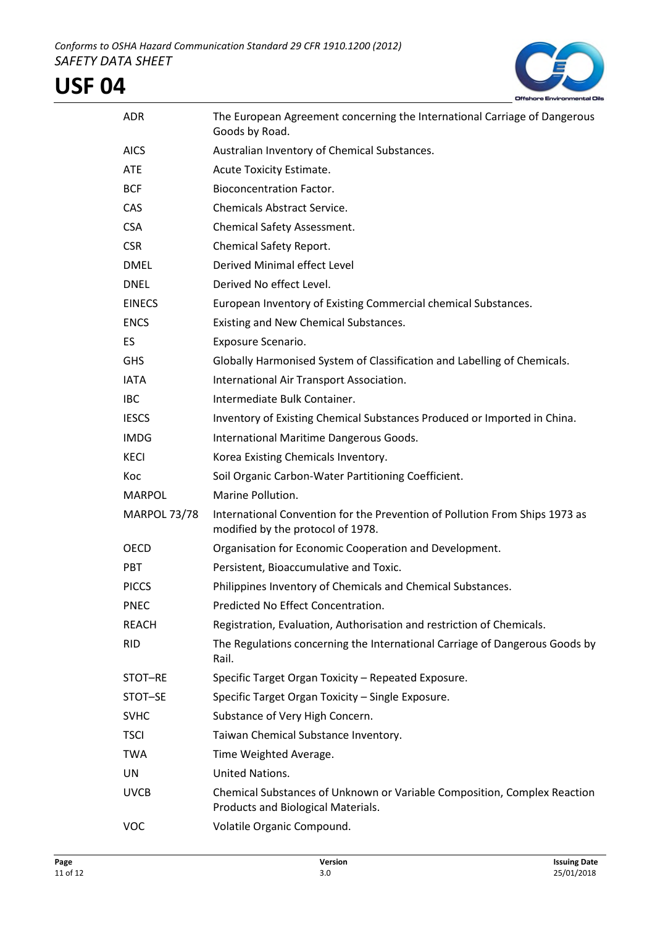

| <b>ADR</b>          | The European Agreement concerning the International Carriage of Dangerous<br>Goods by Road.                      |
|---------------------|------------------------------------------------------------------------------------------------------------------|
| <b>AICS</b>         | Australian Inventory of Chemical Substances.                                                                     |
| <b>ATE</b>          | Acute Toxicity Estimate.                                                                                         |
| <b>BCF</b>          | <b>Bioconcentration Factor.</b>                                                                                  |
| <b>CAS</b>          | <b>Chemicals Abstract Service.</b>                                                                               |
| <b>CSA</b>          | Chemical Safety Assessment.                                                                                      |
| <b>CSR</b>          | Chemical Safety Report.                                                                                          |
| <b>DMEL</b>         | Derived Minimal effect Level                                                                                     |
| <b>DNEL</b>         | Derived No effect Level.                                                                                         |
| <b>EINECS</b>       | European Inventory of Existing Commercial chemical Substances.                                                   |
| <b>ENCS</b>         | Existing and New Chemical Substances.                                                                            |
| <b>ES</b>           | Exposure Scenario.                                                                                               |
| <b>GHS</b>          | Globally Harmonised System of Classification and Labelling of Chemicals.                                         |
| <b>IATA</b>         | International Air Transport Association.                                                                         |
| <b>IBC</b>          | Intermediate Bulk Container.                                                                                     |
| <b>IESCS</b>        | Inventory of Existing Chemical Substances Produced or Imported in China.                                         |
| <b>IMDG</b>         | International Maritime Dangerous Goods.                                                                          |
| <b>KECI</b>         | Korea Existing Chemicals Inventory.                                                                              |
| Koc                 | Soil Organic Carbon-Water Partitioning Coefficient.                                                              |
| <b>MARPOL</b>       | Marine Pollution.                                                                                                |
| <b>MARPOL 73/78</b> | International Convention for the Prevention of Pollution From Ships 1973 as<br>modified by the protocol of 1978. |
| <b>OECD</b>         | Organisation for Economic Cooperation and Development.                                                           |
| <b>PBT</b>          | Persistent, Bioaccumulative and Toxic.                                                                           |
| <b>PICCS</b>        | Philippines Inventory of Chemicals and Chemical Substances.                                                      |
| <b>PNEC</b>         | Predicted No Effect Concentration.                                                                               |
| <b>REACH</b>        | Registration, Evaluation, Authorisation and restriction of Chemicals.                                            |
| <b>RID</b>          | The Regulations concerning the International Carriage of Dangerous Goods by<br>Rail.                             |
| STOT-RE             | Specific Target Organ Toxicity - Repeated Exposure.                                                              |
| STOT-SE             | Specific Target Organ Toxicity - Single Exposure.                                                                |
| <b>SVHC</b>         | Substance of Very High Concern.                                                                                  |
| <b>TSCI</b>         | Taiwan Chemical Substance Inventory.                                                                             |
| <b>TWA</b>          | Time Weighted Average.                                                                                           |
| UN                  | United Nations.                                                                                                  |
| <b>UVCB</b>         | Chemical Substances of Unknown or Variable Composition, Complex Reaction<br>Products and Biological Materials.   |
| VOC                 | Volatile Organic Compound.                                                                                       |